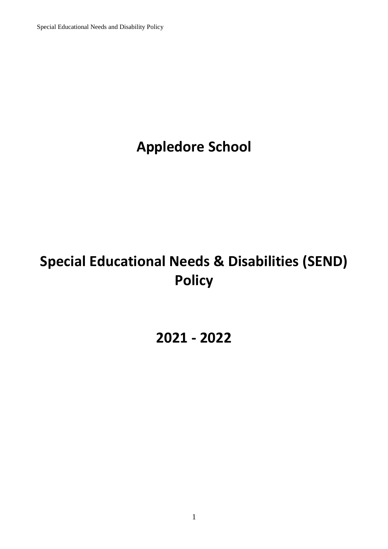**Appledore School**

# **Special Educational Needs & Disabilities (SEND) Policy**

**2021 - 2022**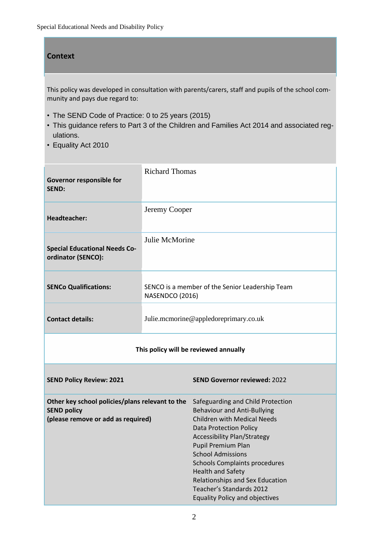#### **Context**

This policy was developed in consultation with parents/carers, staff and pupils of the school community and pays due regard to:

- The SEND Code of Practice: 0 to 25 years (2015)
- This guidance refers to Part 3 of the Children and Families Act 2014 and associated regulations.
- Equality Act 2010

| Governor responsible for<br><b>SEND:</b>                                                                    | <b>Richard Thomas</b>                                              |                                                                                                                                                                                                                                                                                                                                                                                                                    |  |
|-------------------------------------------------------------------------------------------------------------|--------------------------------------------------------------------|--------------------------------------------------------------------------------------------------------------------------------------------------------------------------------------------------------------------------------------------------------------------------------------------------------------------------------------------------------------------------------------------------------------------|--|
| <b>Headteacher:</b>                                                                                         | Jeremy Cooper                                                      |                                                                                                                                                                                                                                                                                                                                                                                                                    |  |
| <b>Special Educational Needs Co-</b><br>ordinator (SENCO):                                                  | Julie McMorine                                                     |                                                                                                                                                                                                                                                                                                                                                                                                                    |  |
| <b>SENCo Qualifications:</b>                                                                                | SENCO is a member of the Senior Leadership Team<br>NASENDCO (2016) |                                                                                                                                                                                                                                                                                                                                                                                                                    |  |
| <b>Contact details:</b>                                                                                     | Julie.mcmorine@appledoreprimary.co.uk                              |                                                                                                                                                                                                                                                                                                                                                                                                                    |  |
| This policy will be reviewed annually                                                                       |                                                                    |                                                                                                                                                                                                                                                                                                                                                                                                                    |  |
| <b>SEND Policy Review: 2021</b>                                                                             |                                                                    | <b>SEND Governor reviewed: 2022</b>                                                                                                                                                                                                                                                                                                                                                                                |  |
| Other key school policies/plans relevant to the<br><b>SEND policy</b><br>(please remove or add as required) |                                                                    | Safeguarding and Child Protection<br><b>Behaviour and Anti-Bullying</b><br><b>Children with Medical Needs</b><br><b>Data Protection Policy</b><br><b>Accessibility Plan/Strategy</b><br>Pupil Premium Plan<br><b>School Admissions</b><br><b>Schools Complaints procedures</b><br><b>Health and Safety</b><br>Relationships and Sex Education<br>Teacher's Standards 2012<br><b>Equality Policy and objectives</b> |  |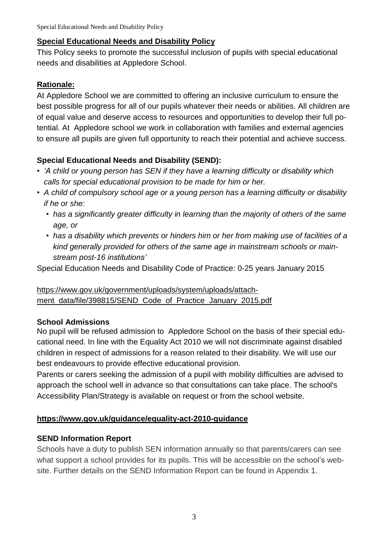This Policy seeks to promote the successful inclusion of pupils with special educational needs and disabilities at Appledore School.

#### **Rationale:**

At Appledore School we are committed to offering an inclusive curriculum to ensure the best possible progress for all of our pupils whatever their needs or abilities. All children are of equal value and deserve access to resources and opportunities to develop their full potential. At Appledore school we work in collaboration with families and external agencies to ensure all pupils are given full opportunity to reach their potential and achieve success.

# **Special Educational Needs and Disability (SEND):**

- *• 'A child or young person has SEN if they have a learning difficulty or disability which calls for special educational provision to be made for him or her.*
- *• A child of compulsory school age or a young person has a learning difficulty or disability if he or she:*
	- *• has a significantly greater difficulty in learning than the majority of others of the same age, or*
	- *• has a disability which prevents or hinders him or her from making use of facilities of a kind generally provided for others of the same age in mainstream schools or mainstream post-16 institutions'*

Special Education Needs and Disability Code of Practice: 0-25 years January 2015

# [https://www.gov.uk/government/uploads/system/uploads/attach](https://www.gov.uk/government/uploads/system/uploads/attachment_data/file/398815/SEND_Code_of_Practice_January_2015.pdf)[ment\\_data/file/398815/SEND\\_Code\\_of\\_Practice\\_January\\_2015.pdf](https://www.gov.uk/government/uploads/system/uploads/attachment_data/file/398815/SEND_Code_of_Practice_January_2015.pdf)

#### **School Admissions**

No pupil will be refused admission to Appledore School on the basis of their special educational need. In line with the Equality Act 2010 we will not discriminate against disabled children in respect of admissions for a reason related to their disability. We will use our best endeavours to provide effective educational provision.

Parents or carers seeking the admission of a pupil with mobility difficulties are advised to approach the school well in advance so that consultations can take place. The school's Accessibility Plan/Strategy is available on request or from the school website.

# **[https://www.gov.uk/guidance/equality-act-2010-guidance](https://www.gov.uk/guidance/equality-act-2010-guidance%23history)**

# **SEND Information Report**

Schools have a duty to publish SEN information annually so that parents/carers can see what support a school provides for its pupils. This will be accessible on the school's website. Further details on the SEND Information Report can be found in Appendix 1.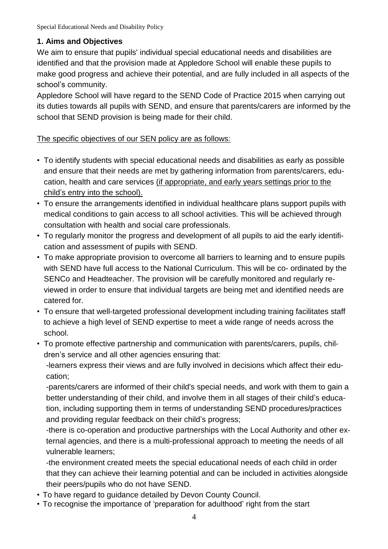## **1. Aims and Objectives**

We aim to ensure that pupils' individual special educational needs and disabilities are identified and that the provision made at Appledore School will enable these pupils to make good progress and achieve their potential, and are fully included in all aspects of the school's community.

Appledore School will have regard to the SEND Code of Practice 2015 when carrying out its duties towards all pupils with SEND, and ensure that parents/carers are informed by the school that SEND provision is being made for their child.

#### The specific objectives of our SEN policy are as follows:

- To identify students with special educational needs and disabilities as early as possible and ensure that their needs are met by gathering information from parents/carers, education, health and care services (if appropriate, and early years settings prior to the child's entry into the school).
- To ensure the arrangements identified in individual healthcare plans support pupils with medical conditions to gain access to all school activities. This will be achieved through consultation with health and social care professionals.
- To regularly monitor the progress and development of all pupils to aid the early identification and assessment of pupils with SEND.
- To make appropriate provision to overcome all barriers to learning and to ensure pupils with SEND have full access to the National Curriculum. This will be co- ordinated by the SENCo and Headteacher. The provision will be carefully monitored and regularly reviewed in order to ensure that individual targets are being met and identified needs are catered for.
- To ensure that well-targeted professional development including training facilitates staff to achieve a high level of SEND expertise to meet a wide range of needs across the school.
- To promote effective partnership and communication with parents/carers, pupils, children's service and all other agencies ensuring that:

-learners express their views and are fully involved in decisions which affect their education;

-parents/carers are informed of their child's special needs, and work with them to gain a better understanding of their child, and involve them in all stages of their child's education, including supporting them in terms of understanding SEND procedures/practices and providing regular feedback on their child's progress;

-there is co-operation and productive partnerships with the Local Authority and other external agencies, and there is a multi-professional approach to meeting the needs of all vulnerable learners;

-the environment created meets the special educational needs of each child in order that they can achieve their learning potential and can be included in activities alongside their peers/pupils who do not have SEND.

- To have regard to guidance detailed by Devon County Council.
- To recognise the importance of 'preparation for adulthood' right from the start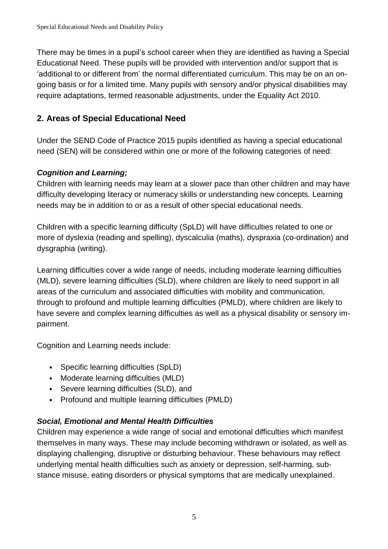There may be times in a pupil's school career when they are identified as having a Special Educational Need. These pupils will be provided with intervention and/or support that is 'additional to or different from' the normal differentiated curriculum. This may be on an ongoing basis or for a limited time. Many pupils with sensory and/or physical disabilities may require adaptations, termed reasonable adjustments, under the Equality Act 2010.

# **2. Areas of Special Educational Need**

Under the SEND Code of Practice 2015 pupils identified as having a special educational need (SEN) will be considered within one or more of the following categories of need:

# *Cognition and Learning;*

Children with learning needs may learn at a slower pace than other children and may have difficulty developing literacy or numeracy skills or understanding new concepts. Learning needs may be in addition to or as a result of other special educational needs.

Children with a specific learning difficulty (SpLD) will have difficulties related to one or more of dyslexia (reading and spelling), dyscalculia (maths), dyspraxia (co-ordination) and dysgraphia (writing).

Learning difficulties cover a wide range of needs, including moderate learning difficulties (MLD), severe learning difficulties (SLD), where children are likely to need support in all areas of the curriculum and associated difficulties with mobility and communication, through to profound and multiple learning difficulties (PMLD), where children are likely to have severe and complex learning difficulties as well as a physical disability or sensory impairment.

Cognition and Learning needs include:

- Specific learning difficulties (SpLD)
- Moderate learning difficulties (MLD)
- Severe learning difficulties (SLD), and
- Profound and multiple learning difficulties (PMLD)

# *Social, Emotional and Mental Health Difficulties*

Children may experience a wide range of social and emotional difficulties which manifest themselves in many ways. These may include becoming withdrawn or isolated, as well as displaying challenging, disruptive or disturbing behaviour. These behaviours may reflect underlying mental health difficulties such as anxiety or depression, self-harming, substance misuse, eating disorders or physical symptoms that are medically unexplained.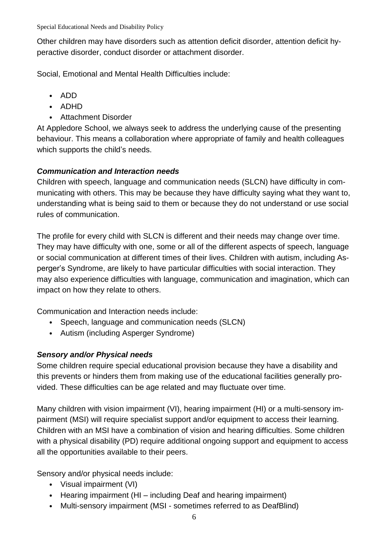Other children may have disorders such as attention deficit disorder, attention deficit hyperactive disorder, conduct disorder or attachment disorder.

Social, Emotional and Mental Health Difficulties include:

- ADD
- ADHD
- Attachment Disorder

At Appledore School, we always seek to address the underlying cause of the presenting behaviour. This means a collaboration where appropriate of family and health colleagues which supports the child's needs.

# *Communication and Interaction needs*

Children with speech, language and communication needs (SLCN) have difficulty in communicating with others. This may be because they have difficulty saying what they want to, understanding what is being said to them or because they do not understand or use social rules of communication.

The profile for every child with SLCN is different and their needs may change over time. They may have difficulty with one, some or all of the different aspects of speech, language or social communication at different times of their lives. Children with autism, including Asperger's Syndrome, are likely to have particular difficulties with social interaction. They may also experience difficulties with language, communication and imagination, which can impact on how they relate to others.

Communication and Interaction needs include:

- Speech, language and communication needs (SLCN)
- Autism (including Asperger Syndrome)

# *Sensory and/or Physical needs*

Some children require special educational provision because they have a disability and this prevents or hinders them from making use of the educational facilities generally provided. These difficulties can be age related and may fluctuate over time.

Many children with vision impairment (VI), hearing impairment (HI) or a multi-sensory impairment (MSI) will require specialist support and/or equipment to access their learning. Children with an MSI have a combination of vision and hearing difficulties. Some children with a physical disability (PD) require additional ongoing support and equipment to access all the opportunities available to their peers.

Sensory and/or physical needs include:

- Visual impairment (VI)
- Hearing impairment (HI including Deaf and hearing impairment)
- Multi-sensory impairment (MSI sometimes referred to as DeafBlind)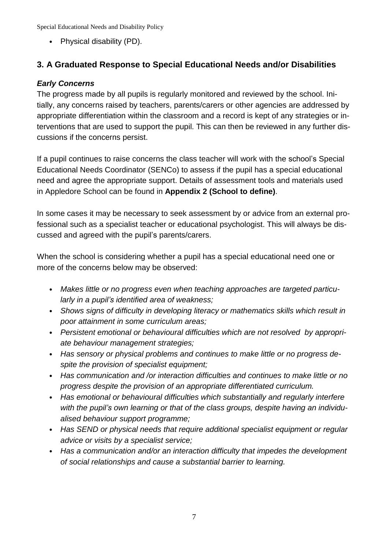• Physical disability (PD).

# **3. A Graduated Response to Special Educational Needs and/or Disabilities**

# *Early Concerns*

The progress made by all pupils is regularly monitored and reviewed by the school. Initially, any concerns raised by teachers, parents/carers or other agencies are addressed by appropriate differentiation within the classroom and a record is kept of any strategies or interventions that are used to support the pupil. This can then be reviewed in any further discussions if the concerns persist.

If a pupil continues to raise concerns the class teacher will work with the school's Special Educational Needs Coordinator (SENCo) to assess if the pupil has a special educational need and agree the appropriate support. Details of assessment tools and materials used in Appledore School can be found in **Appendix 2 (School to define)**.

In some cases it may be necessary to seek assessment by or advice from an external professional such as a specialist teacher or educational psychologist. This will always be discussed and agreed with the pupil's parents/carers.

When the school is considering whether a pupil has a special educational need one or more of the concerns below may be observed:

- *Makes little or no progress even when teaching approaches are targeted particularly in a pupil's identified area of weakness;*
- *Shows signs of difficulty in developing literacy or mathematics skills which result in poor attainment in some curriculum areas;*
- *Persistent emotional or behavioural difficulties which are not resolved by appropriate behaviour management strategies;*
- *Has sensory or physical problems and continues to make little or no progress despite the provision of specialist equipment;*
- *Has communication and /or interaction difficulties and continues to make little or no progress despite the provision of an appropriate differentiated curriculum.*
- *Has emotional or behavioural difficulties which substantially and regularly interfere with the pupil's own learning or that of the class groups, despite having an individualised behaviour support programme;*
- *Has SEND or physical needs that require additional specialist equipment or regular advice or visits by a specialist service;*
- *Has a communication and/or an interaction difficulty that impedes the development of social relationships and cause a substantial barrier to learning.*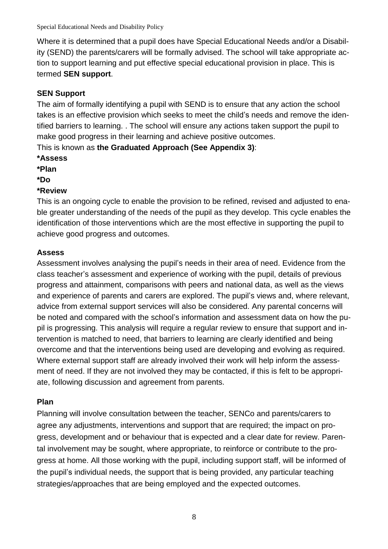Where it is determined that a pupil does have Special Educational Needs and/or a Disability (SEND) the parents/carers will be formally advised. The school will take appropriate action to support learning and put effective special educational provision in place. This is termed **SEN support**.

# **SEN Support**

The aim of formally identifying a pupil with SEND is to ensure that any action the school takes is an effective provision which seeks to meet the child's needs and remove the identified barriers to learning. . The school will ensure any actions taken support the pupil to make good progress in their learning and achieve positive outcomes.

This is known as **the Graduated Approach (See Appendix 3)**:

- **\*Assess**
- **\*Plan**
- **\*Do**

# **\*Review**

This is an ongoing cycle to enable the provision to be refined, revised and adjusted to enable greater understanding of the needs of the pupil as they develop. This cycle enables the identification of those interventions which are the most effective in supporting the pupil to achieve good progress and outcomes.

#### **Assess**

Assessment involves analysing the pupil's needs in their area of need. Evidence from the class teacher's assessment and experience of working with the pupil, details of previous progress and attainment, comparisons with peers and national data, as well as the views and experience of parents and carers are explored. The pupil's views and, where relevant, advice from external support services will also be considered. Any parental concerns will be noted and compared with the school's information and assessment data on how the pupil is progressing. This analysis will require a regular review to ensure that support and intervention is matched to need, that barriers to learning are clearly identified and being overcome and that the interventions being used are developing and evolving as required. Where external support staff are already involved their work will help inform the assessment of need. If they are not involved they may be contacted, if this is felt to be appropriate, following discussion and agreement from parents.

#### **Plan**

Planning will involve consultation between the teacher, SENCo and parents/carers to agree any adjustments, interventions and support that are required; the impact on progress, development and or behaviour that is expected and a clear date for review. Parental involvement may be sought, where appropriate, to reinforce or contribute to the progress at home. All those working with the pupil, including support staff, will be informed of the pupil's individual needs, the support that is being provided, any particular teaching strategies/approaches that are being employed and the expected outcomes.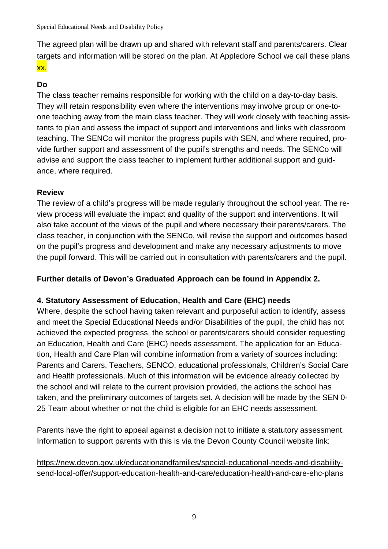The agreed plan will be drawn up and shared with relevant staff and parents/carers. Clear targets and information will be stored on the plan. At Appledore School we call these plans xx.

# **Do**

The class teacher remains responsible for working with the child on a day-to-day basis. They will retain responsibility even where the interventions may involve group or one-toone teaching away from the main class teacher. They will work closely with teaching assistants to plan and assess the impact of support and interventions and links with classroom teaching. The SENCo will monitor the progress pupils with SEN, and where required, provide further support and assessment of the pupil's strengths and needs. The SENCo will advise and support the class teacher to implement further additional support and guidance, where required.

#### **Review**

The review of a child's progress will be made regularly throughout the school year. The review process will evaluate the impact and quality of the support and interventions. It will also take account of the views of the pupil and where necessary their parents/carers. The class teacher, in conjunction with the SENCo, will revise the support and outcomes based on the pupil's progress and development and make any necessary adjustments to move the pupil forward. This will be carried out in consultation with parents/carers and the pupil.

#### **Further details of Devon's Graduated Approach can be found in Appendix 2.**

#### **4. Statutory Assessment of Education, Health and Care (EHC) needs**

Where, despite the school having taken relevant and purposeful action to identify, assess and meet the Special Educational Needs and/or Disabilities of the pupil, the child has not achieved the expected progress, the school or parents/carers should consider requesting an Education, Health and Care (EHC) needs assessment. The application for an Education, Health and Care Plan will combine information from a variety of sources including: Parents and Carers, Teachers, SENCO, educational professionals, Children's Social Care and Health professionals. Much of this information will be evidence already collected by the school and will relate to the current provision provided, the actions the school has taken, and the preliminary outcomes of targets set. A decision will be made by the SEN 0- 25 Team about whether or not the child is eligible for an EHC needs assessment.

Parents have the right to appeal against a decision not to initiate a statutory assessment. Information to support parents with this is via the Devon County Council website link:

[https://new.devon.gov.uk/educationandfamilies/special-educational-needs-and-disability](https://new.devon.gov.uk/educationandfamilies/special-educational-needs-and-disability-send-local-offer/support-education-health-and-care/education-health-and-care-ehc-plans)[send-local-offer/support-education-health-and-care/education-health-and-care-ehc-plans](https://new.devon.gov.uk/educationandfamilies/special-educational-needs-and-disability-send-local-offer/support-education-health-and-care/education-health-and-care-ehc-plans)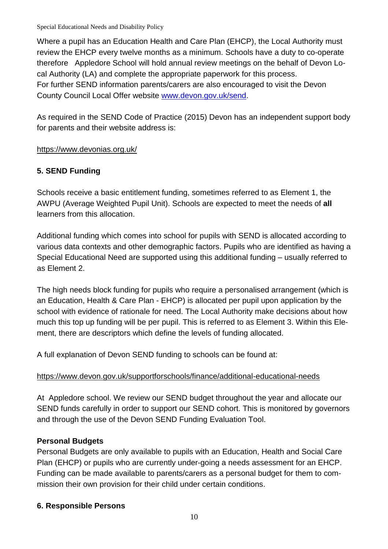Where a pupil has an Education Health and Care Plan (EHCP), the Local Authority must review the EHCP every twelve months as a minimum. Schools have a duty to co-operate therefore Appledore School will hold annual review meetings on the behalf of Devon Local Authority (LA) and complete the appropriate paperwork for this process. For further SEND information parents/carers are also encouraged to visit the Devon County Council Local Offer website [www.devon.gov.uk/send.](http://www.devon.gov.uk/send)

As required in the SEND Code of Practice (2015) Devon has an independent support body for parents and their website address is:

#### <https://www.devonias.org.uk/>

#### **5. SEND Funding**

Schools receive a basic entitlement funding, sometimes referred to as Element 1, the AWPU (Average Weighted Pupil Unit). Schools are expected to meet the needs of **all** learners from this allocation.

Additional funding which comes into school for pupils with SEND is allocated according to various data contexts and other demographic factors. Pupils who are identified as having a Special Educational Need are supported using this additional funding – usually referred to as Element 2.

The high needs block funding for pupils who require a personalised arrangement (which is an Education, Health & Care Plan - EHCP) is allocated per pupil upon application by the school with evidence of rationale for need. The Local Authority make decisions about how much this top up funding will be per pupil. This is referred to as Element 3. Within this Element, there are descriptors which define the levels of funding allocated.

A full explanation of Devon SEND funding to schools can be found at:

#### <https://www.devon.gov.uk/supportforschools/finance/additional-educational-needs>

At Appledore school. We review our SEND budget throughout the year and allocate our SEND funds carefully in order to support our SEND cohort. This is monitored by governors and through the use of the Devon SEND Funding Evaluation Tool.

#### **Personal Budgets**

Personal Budgets are only available to pupils with an Education, Health and Social Care Plan (EHCP) or pupils who are currently under-going a needs assessment for an EHCP. Funding can be made available to parents/carers as a personal budget for them to commission their own provision for their child under certain conditions.

#### **6. Responsible Persons**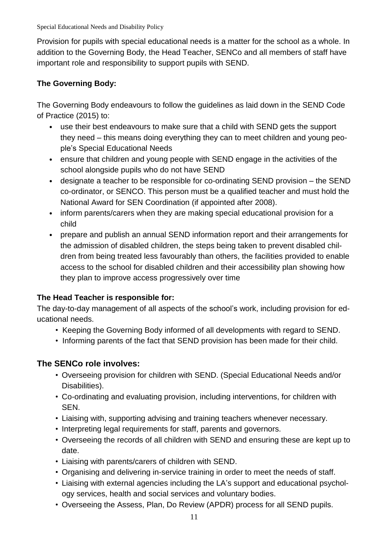Provision for pupils with special educational needs is a matter for the school as a whole. In addition to the Governing Body, the Head Teacher, SENCo and all members of staff have important role and responsibility to support pupils with SEND.

## **The Governing Body:**

The Governing Body endeavours to follow the guidelines as laid down in the SEND Code of Practice (2015) to:

- use their best endeavours to make sure that a child with SEND gets the support they need – this means doing everything they can to meet children and young people's Special Educational Needs
- ensure that children and young people with SEND engage in the activities of the school alongside pupils who do not have SEND
- designate a teacher to be responsible for co-ordinating SEND provision the SEND co-ordinator, or SENCO. This person must be a qualified teacher and must hold the National Award for SEN Coordination (if appointed after 2008).
- inform parents/carers when they are making special educational provision for a child
- prepare and publish an annual SEND information report and their arrangements for the admission of disabled children, the steps being taken to prevent disabled children from being treated less favourably than others, the facilities provided to enable access to the school for disabled children and their accessibility plan showing how they plan to improve access progressively over time

#### **The Head Teacher is responsible for:**

The day-to-day management of all aspects of the school's work, including provision for educational needs.

- Keeping the Governing Body informed of all developments with regard to SEND.
- Informing parents of the fact that SEND provision has been made for their child.

# **The SENCo role involves:**

- Overseeing provision for children with SEND. (Special Educational Needs and/or Disabilities).
- Co-ordinating and evaluating provision, including interventions, for children with SEN.
- Liaising with, supporting advising and training teachers whenever necessary.
- Interpreting legal requirements for staff, parents and governors.
- Overseeing the records of all children with SEND and ensuring these are kept up to date.
- Liaising with parents/carers of children with SEND.
- Organising and delivering in-service training in order to meet the needs of staff.
- Liaising with external agencies including the LA's support and educational psychology services, health and social services and voluntary bodies.
- Overseeing the Assess, Plan, Do Review (APDR) process for all SEND pupils.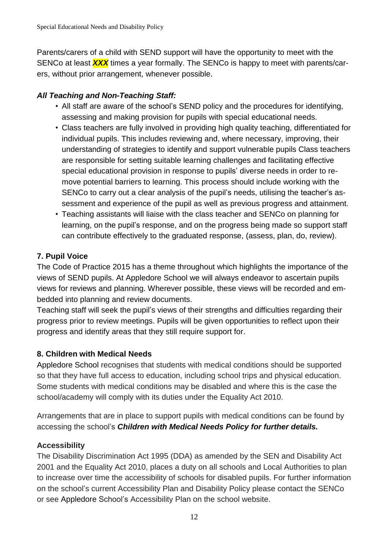Parents/carers of a child with SEND support will have the opportunity to meet with the SENCo at least *XXX* times a year formally. The SENCo is happy to meet with parents/carers, without prior arrangement, whenever possible.

# *All Teaching and Non-Teaching Staff:*

- All staff are aware of the school's SEND policy and the procedures for identifying, assessing and making provision for pupils with special educational needs.
- Class teachers are fully involved in providing high quality teaching, differentiated for individual pupils. This includes reviewing and, where necessary, improving, their understanding of strategies to identify and support vulnerable pupils Class teachers are responsible for setting suitable learning challenges and facilitating effective special educational provision in response to pupils' diverse needs in order to remove potential barriers to learning. This process should include working with the SENCo to carry out a clear analysis of the pupil's needs, utilising the teacher's assessment and experience of the pupil as well as previous progress and attainment.
- Teaching assistants will liaise with the class teacher and SENCo on planning for learning, on the pupil's response, and on the progress being made so support staff can contribute effectively to the graduated response, (assess, plan, do, review).

# **7. Pupil Voice**

The Code of Practice 2015 has a theme throughout which highlights the importance of the views of SEND pupils. At Appledore School we will always endeavor to ascertain pupils views for reviews and planning. Wherever possible, these views will be recorded and embedded into planning and review documents.

Teaching staff will seek the pupil's views of their strengths and difficulties regarding their progress prior to review meetings. Pupils will be given opportunities to reflect upon their progress and identify areas that they still require support for.

# **8. Children with Medical Needs**

Appledore School recognises that students with medical conditions should be supported so that they have full access to education, including school trips and physical education. Some students with medical conditions may be disabled and where this is the case the school/academy will comply with its duties under the Equality Act 2010.

Arrangements that are in place to support pupils with medical conditions can be found by accessing the school's *Children with Medical Needs Policy for further details.*

# **Accessibility**

The Disability Discrimination Act 1995 (DDA) as amended by the SEN and Disability Act 2001 and the Equality Act 2010, places a duty on all schools and Local Authorities to plan to increase over time the accessibility of schools for disabled pupils. For further information on the school's current Accessibility Plan and Disability Policy please contact the SENCo or see Appledore School's Accessibility Plan on the school website.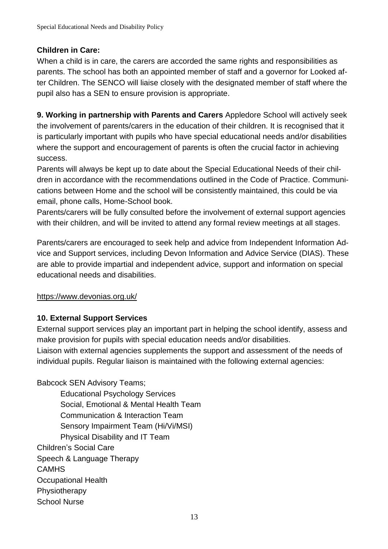# **Children in Care:**

When a child is in care, the carers are accorded the same rights and responsibilities as parents. The school has both an appointed member of staff and a governor for Looked after Children. The SENCO will liaise closely with the designated member of staff where the pupil also has a SEN to ensure provision is appropriate.

**9. Working in partnership with Parents and Carers** Appledore School will actively seek the involvement of parents/carers in the education of their children. It is recognised that it is particularly important with pupils who have special educational needs and/or disabilities where the support and encouragement of parents is often the crucial factor in achieving success.

Parents will always be kept up to date about the Special Educational Needs of their children in accordance with the recommendations outlined in the Code of Practice. Communications between Home and the school will be consistently maintained, this could be via email, phone calls, Home-School book.

Parents/carers will be fully consulted before the involvement of external support agencies with their children, and will be invited to attend any formal review meetings at all stages.

Parents/carers are encouraged to seek help and advice from Independent Information Advice and Support services, including Devon Information and Advice Service (DIAS). These are able to provide impartial and independent advice, support and information on special educational needs and disabilities.

# <https://www.devonias.org.uk/>

# **10. External Support Services**

External support services play an important part in helping the school identify, assess and make provision for pupils with special education needs and/or disabilities. Liaison with external agencies supplements the support and assessment of the needs of

individual pupils. Regular liaison is maintained with the following external agencies:

Babcock SEN Advisory Teams;

Educational Psychology Services Social, Emotional & Mental Health Team Communication & Interaction Team Sensory Impairment Team (Hi/Vi/MSI) Physical Disability and IT Team Children's Social Care Speech & Language Therapy **CAMHS** Occupational Health Physiotherapy School Nurse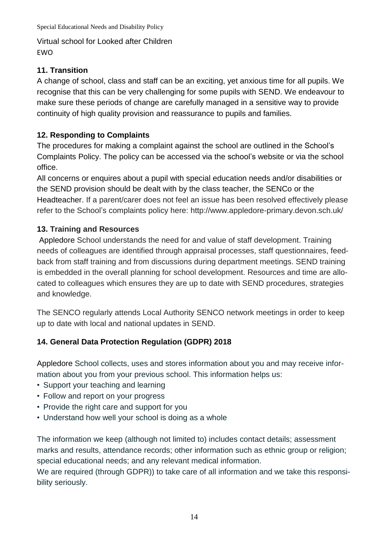Virtual school for Looked after Children EWO

# **11. Transition**

A change of school, class and staff can be an exciting, yet anxious time for all pupils. We recognise that this can be very challenging for some pupils with SEND. We endeavour to make sure these periods of change are carefully managed in a sensitive way to provide continuity of high quality provision and reassurance to pupils and families.

# **12. Responding to Complaints**

The procedures for making a complaint against the school are outlined in the School's Complaints Policy. The policy can be accessed via the school's website or via the school office.

All concerns or enquires about a pupil with special education needs and/or disabilities or the SEND provision should be dealt with by the class teacher, the SENCo or the Headteacher. If a parent/carer does not feel an issue has been resolved effectively please refer to the School's complaints policy here: http://www.appledore-primary.devon.sch.uk/

# **13. Training and Resources**

Appledore School understands the need for and value of staff development. Training needs of colleagues are identified through appraisal processes, staff questionnaires, feedback from staff training and from discussions during department meetings. SEND training is embedded in the overall planning for school development. Resources and time are allocated to colleagues which ensures they are up to date with SEND procedures, strategies and knowledge.

The SENCO regularly attends Local Authority SENCO network meetings in order to keep up to date with local and national updates in SEND.

# **14. General Data Protection Regulation (GDPR) 2018**

Appledore School collects, uses and stores information about you and may receive information about you from your previous school. This information helps us:

- Support your teaching and learning
- Follow and report on your progress
- Provide the right care and support for you
- Understand how well your school is doing as a whole

The information we keep (although not limited to) includes contact details; assessment marks and results, attendance records; other information such as ethnic group or religion; special educational needs; and any relevant medical information.

We are required (through GDPR)) to take care of all information and we take this responsibility seriously.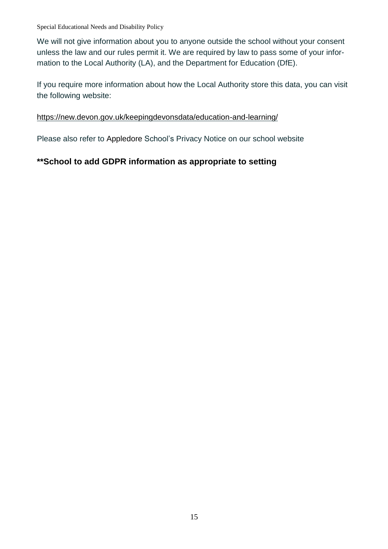We will not give information about you to anyone outside the school without your consent unless the law and our rules permit it. We are required by law to pass some of your information to the Local Authority (LA), and the Department for Education (DfE).

If you require more information about how the Local Authority store this data, you can visit the following website:

#### <https://new.devon.gov.uk/keepingdevonsdata/education-and-learning/>

Please also refer to Appledore School's Privacy Notice on our school website

# **\*\*School to add GDPR information as appropriate to setting**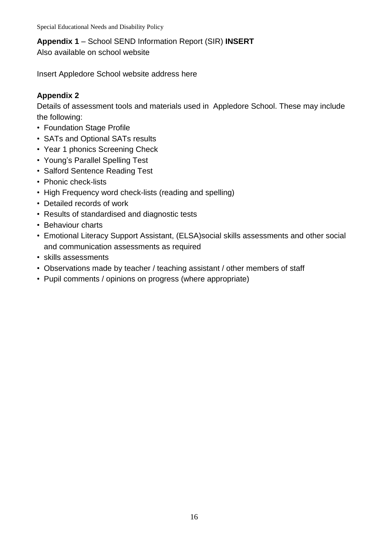#### **Appendix 1** – School SEND Information Report (SIR) **INSERT**

Also available on school website

Insert Appledore School website address here

## **Appendix 2**

Details of assessment tools and materials used in Appledore School. These may include the following:

- Foundation Stage Profile
- SATs and Optional SATs results
- Year 1 phonics Screening Check
- Young's Parallel Spelling Test
- Salford Sentence Reading Test
- Phonic check-lists
- High Frequency word check-lists (reading and spelling)
- Detailed records of work
- Results of standardised and diagnostic tests
- Behaviour charts
- Emotional Literacy Support Assistant, (ELSA)social skills assessments and other social and communication assessments as required
- skills assessments
- Observations made by teacher / teaching assistant / other members of staff
- Pupil comments / opinions on progress (where appropriate)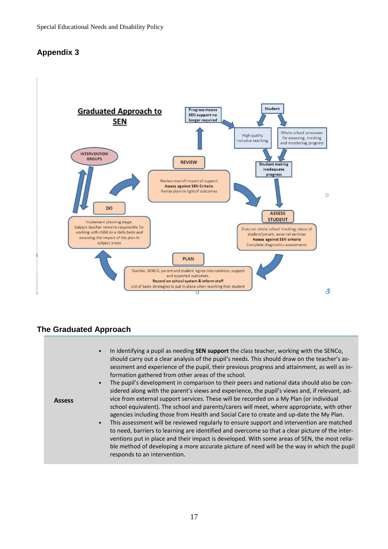#### **Appendix 3**



#### **The Graduated Approach**